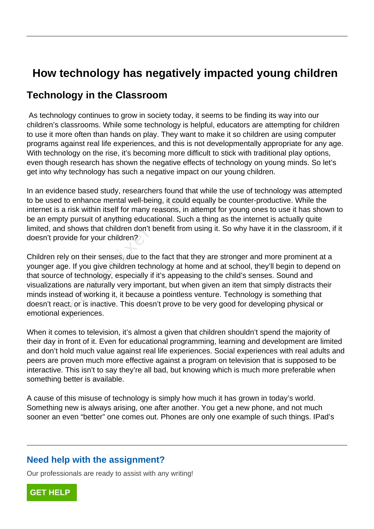# **How technology has negatively impacted young children**

## **Technology in the Classroom**

 As technology continues to grow in society today, it seems to be finding its way into our children's classrooms. While some technology is helpful, educators are attempting for children to use it more often than hands on play. They want to make it so children are using computer programs against real life experiences, and this is not developmentally appropriate for any age. With technology on the rise, it's becoming more difficult to stick with traditional play options, even though research has shown the negative effects of technology on young minds. So let's get into why technology has such a negative impact on our young children.

In an evidence based study, researchers found that while the use of technology was attempted to be used to enhance mental well-being, it could equally be counter-productive. While the internet is a risk within itself for many reasons, in attempt for young ones to use it has shown to be an empty pursuit of anything educational. Such a thing as the internet is actually quite limited, and shows that children don't benefit from using it. So why have it in the classroom, if it doesn't provide for your children?

Children rely on their senses, due to the fact that they are stronger and more prominent at a younger age. If you give children technology at home and at school, they'll begin to depend on that source of technology, especially if it's appeasing to the child's senses. Sound and visualizations are naturally very important, but when given an item that simply distracts their minds instead of working it, it because a pointless venture. Technology is something that doesn't react, or is inactive. This doesn't prove to be very good for developing physical or emotional experiences. I to enhance mental well-being, it could<br>a risk within itself for many reasons, in<br>ty pursuit of anything educational. Suc<br>d shows that children don't benefit from<br>ovide for your children?<br>Ply on their senses, due to the f

When it comes to television, it's almost a given that children shouldn't spend the majority of their day in front of it. Even for educational programming, learning and development are limited and don't hold much value against real life experiences. Social experiences with real adults and peers are proven much more effective against a program on television that is supposed to be interactive. This isn't to say they're all bad, but knowing which is much more preferable when something better is available.

A cause of this misuse of technology is simply how much it has grown in today's world. Something new is always arising, one after another. You get a new phone, and not much sooner an even "better" one comes out. Phones are only one example of such things. IPad's

### **Need help with the assignment?**

Our professionals are ready to assist with any writing!

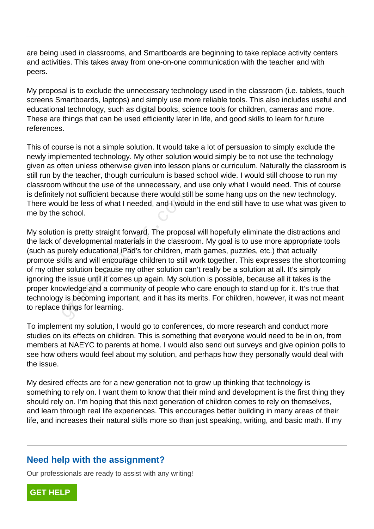are being used in classrooms, and Smartboards are beginning to take replace activity centers and activities. This takes away from one-on-one communication with the teacher and with peers.

My proposal is to exclude the unnecessary technology used in the classroom (i.e. tablets, touch screens Smartboards, laptops) and simply use more reliable tools. This also includes useful and educational technology, such as digital books, science tools for children, cameras and more. These are things that can be used efficiently later in life, and good skills to learn for future references.

This of course is not a simple solution. It would take a lot of persuasion to simply exclude the newly implemented technology. My other solution would simply be to not use the technology given as often unless otherwise given into lesson plans or curriculum. Naturally the classroom is still run by the teacher, though curriculum is based school wide. I would still choose to run my classroom without the use of the unnecessary, and use only what I would need. This of course is definitely not sufficient because there would still be some hang ups on the new technology. There would be less of what I needed, and I would in the end still have to use what was given to me by the school.

My solution is pretty straight forward. The proposal will hopefully eliminate the distractions and the lack of developmental materials in the classroom. My goal is to use more appropriate tools (such as purely educational iPad's for children, math games, puzzles, etc.) that actually promote skills and will encourage children to still work together. This expresses the shortcoming of my other solution because my other solution can't really be a solution at all. It's simply ignoring the issue until it comes up again. My solution is possible, because all it takes is the proper knowledge and a community of people who care enough to stand up for it. It's true that technology is becoming important, and it has its merits. For children, however, it was not meant to replace things for learning. grade the would still be less of what I needed, and I woul<br>school.<br>In is pretty straight forward. The propos<br>developmental materials in the classrc<br>urely educational iPad's for children, m<br>kills and will encourage children

To implement my solution, I would go to conferences, do more research and conduct more studies on its effects on children. This is something that everyone would need to be in on, from members at NAEYC to parents at home. I would also send out surveys and give opinion polls to see how others would feel about my solution, and perhaps how they personally would deal with the issue.

My desired effects are for a new generation not to grow up thinking that technology is something to rely on. I want them to know that their mind and development is the first thing they should rely on. I'm hoping that this next generation of children comes to rely on themselves, and learn through real life experiences. This encourages better building in many areas of their life, and increases their natural skills more so than just speaking, writing, and basic math. If my

#### **Need help with the assignment?**

Our professionals are ready to assist with any writing!